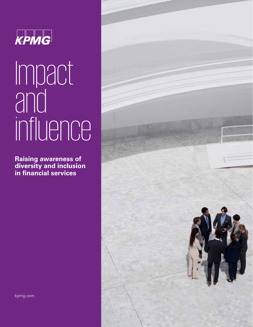

# Impact and<br>and influence

**Raising awareness of diversity and inclusion in financial services**

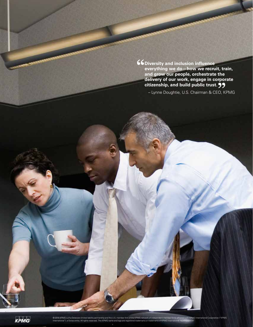**Diversity and inclusion influence everything we do—how we recruit, train, and grow our people, orchestrate the delivery of our work, engage in corporate citizenship, and build public trust.**

– Lynne Doughtie, U.S. Chairman & CEO, KPMG

KPMG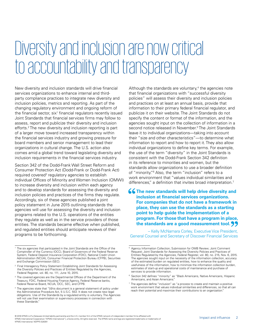### Diversity and inclusion are now critical to accountability and transparency

New diversity and inclusion standards will drive financial services organizations to enhance internal and thirdparty compliance practices to integrate new diversity and inclusion policies, metrics and reporting. As part of the changing regulatory environment and ongoing reform of the financial sector, six<sup>1</sup> financial regulators recently issued Joint Standards that financial services firms may follow to assess, report and publicize their diversity and inclusion efforts.2 The new diversity and inclusion reporting is part of a larger move toward increased transparency within the financial services industry and growing pressure for board members and senior management to lead their organizations in cultural change. The U.S. action also comes amid a global trend toward legislating diversity and inclusion requirements in the financial services industry.

Section 342 of the Dodd-Frank Wall Street Reform and Consumer Protection Act (Dodd-Frank or Dodd-Frank Act) required covered<sup>3</sup> regulatory agencies to establish individual Offices of Minority and Women Inclusion (OMWI) to increase diversity and inclusion within each agency and to develop standards for assessing the diversity and inclusion policies and practices of the firms they regulate. Accordingly, six of these agencies published a joint policy statement in June 2015 outlining standards the agencies will use for assessing the diversity and inclusion programs related to the U.S. operations of the entities they regulate as well as in the service providers of those entities. The standards became effective when published, and regulated entities should anticipate reviews of their programs to be forthcoming.

Although the standards are voluntary,<sup>4</sup> the agencies note that financial organizations with "successful diversity policies" will assess their diversity and inclusion policies and practices on at least an annual basis, provide that information to their primary federal financial regulator, and publicize it on their website. The Joint Standards do not specify the content or format of the information, and the agencies sought input on the collection of information in a second notice released in November.<sup>5</sup> The Joint Standards leave it to individual organizations—taking into account their "size and other characteristics"—to determine what information to report and how to report it. They also allow individual organizations to define key terms. For example, the use of the term "diversity" in the Joint Standards is consistent with the Dodd-Frank Section 342 definition in its reference to minorities and women, but the standards allow organizations to use a broader definition of "minority."6 Also, the term "inclusion" refers to a work environment that "values individual similarities and differences," a definition that invites broad interpretation.<sup>7</sup>

**66** The new standards will help drive diversity and **inclusion at financial services organizations. For companies that do not have a framework in place, they can use the standards as a starting point to help guide the implementation of a program. For those that have a program in place, the standards are a good measurement tool.**

– Kelly McNamara Corley, Executive Vice President, General Counsel and Secretary of Discover Financial Services

<sup>1</sup> The six agencies that participated in the Joint Standards are the Office of the Comptroller of the Currency (OCC), Board of Governors of the Federal Reserve System, Federal Deposit Insurance Corporation (FDIC), National Credit Union Administration (NCUA), Consumer Financial Protection Bureau (CFPB), Securities and Exchange Commission (SEC).

<sup>2</sup> Final Interagency Policy Statement Establishing Joint Standards for Assessing the Diversity Policies and Practices of Entities Regulated by the Agencies, Federal Register, vol. 80, no. 111, June 10, 2015.

<sup>3</sup> The covered agencies are the Departmental Offices of the Department of the Treasury, FDIC, Federal Housing Finance Agency, Federal Reserve banks, Federal Reserve Board, NCUA, OCC, SEC, and CFPB.

<sup>4</sup> The agencies state that "[t]his document is a general statement of policy under the Administrative Procedure Act, 5 U.S.C. 553. It does not create new legal obligations. Use of the Standards by a regulated entity is voluntary. The Agencies will not use their examination or supervisory processes in connection with these Standards."

<sup>5</sup> Agency Information Collection; Submission for OMB Review; Joint Comment Request; Joint Standards for Assessing the Diversity Policies and Practices of Entities Regulated by the Agencies, Federal Register, vol. 80, no. 215, Nov. 6, 2015. The agencies sought input on the necessity of the information collection, accuracy of the estimated burden on regulated entities, how to enhance the quality and usefulness of the information, how to minimize the information collection burden, estimates of start-up and operational costs of maintenance and purchase of services to provide information.

<sup>6</sup> Section 342 defines "minority" as "Black Americans, Native Americans, Hispanic Americans, and Asian Americans."

<sup>7</sup> The agencies define "inclusion" as "a process to create and maintain a positive work environment that values individual similarities and differences, so that all can reach their potential and maximize their contributions to an organization."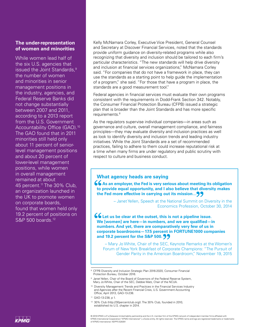#### **The under-representation of women and minorities**

While women lead half of the six U.S. agencies that issued the Joint Standards,<sup>9</sup> the number of women and minorities in senior management positions in the industry, agencies, and Federal Reserve Banks did not change substantially between 2007 and 2011, according to a 2013 report from the U.S. Government Accountability Office (GAO).<sup>10</sup> The GAO found that in 2011 minorities still held only about 11 percent of seniorlevel management positions and about 20 percent of lower-level management positions, while women in overall management remained at about 45 percent.<sup>11</sup> The 30% Club, an organization launched in the UK to promote women on corporate boards, found that women held only 19.2 percent of positions on S&P 500 boards.12

Kelly McNamara Corley, Executive Vice President, General Counsel and Secretary at Discover Financial Services, noted that the standards provide uniform guidance on diversity-related programs while also recognizing that diversity and inclusion should be tailored to each firm's particular characteristics. "The new standards will help drive diversity and inclusion at financial services organizations," McNamara Corley said. "For companies that do not have a framework in place, they can use the standards as a starting point to help guide the implementation of a program," she said. "For those that have a program in place, the standards are a good measurement tool."

Federal agencies in financial services must evaluate their own programs consistent with the requirements in Dodd-Frank Section 342. Notably, the Consumer Financial Protection Bureau (CFPB) issued a strategic plan that is broader than the Joint Standards and has more specific requirements.8

As the regulators supervise individual companies—in areas such as governance and culture, overall management compliance, and fairness principles—they may evaluate diversity and inclusion practices as well as look to identify diversity and inclusion trends and leading industry initiatives. While the Joint Standards are a set of recommended practices, failing to adhere to them could increase reputational risk at a time when many firms are under regulatory and public scrutiny with respect to culture and business conduct.

#### **What agency heads are saying**

**66** As an employer, the Fed is very serious about meeting its obligation **to provide equal opportunity, and I also believe that diversity makes the Fed more effective in carrying out its mission…**

> – Janet Yellen, Speech at the National Summit on Diversity in the Economics Profession, October 30, 2014

**Let us be clear at the outset, this is not a pipeline issue. We [women] are here—in numbers, and we are qualified—in numbers. And yet, there are comparatively very few of us in corporate boardrooms—17.5 percent in FORTUNE1000 companies and 19.2 percent for the S&P 500.**

– Mary Jo White, Chair of the SEC, Keynote Remarks at the Women's Forum of New York Breakfast of Corporate Champions: "The Pursuit of Gender Parity in the American Boardroom," November 19, 2015

© 2016 KPMG LLP, a Delaware limited liability partnership and the U.S. member firm of the KPMG network of independent member firms affiliated with KPMG International Cooperative ("KPMG International"), a Swiss entity. All rights reserved. The KPMG name and logo are registered trademarks or trademarks of KPMG International. NDPPS 528391



<sup>&</sup>lt;sup>8</sup> CFPB Diversity and Inclusion Strategic Plan 2016-2020, Consumer Financial Protection Bureau, October 2016.

<sup>&</sup>lt;sup>9</sup> Janet Yellen, Chair of the Board of Governors of the Federal Reserve System, Mary Jo White, Chair of the SEC, Debbie Matz, Chair of the NCUA.

<sup>&</sup>lt;sup>10</sup> Diversity Management: Trends and Practices in the Financial Services Industry and Agencies after the Recent Financial Crisis, U.S. Government Accounting Office, April 2013, GAO-13-238.

<sup>11</sup> GAO-13-238, p 1.

<sup>12 30%</sup> Club (http://30percentclub.org/). The 30% Club, founded in 2010, established its U.S. chapter in 2014.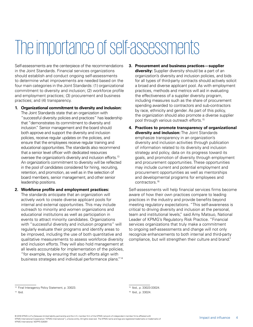## The importance of self-assessments

Self-assessments are the centerpiece of the recommendations in the Joint Standards. Financial services organizations should establish and conduct ongoing self-assessments to determine what improvements are needed based on the four main categories in the Joint Standards: (1) organizational commitment to diversity and inclusion; (2) workforce profile and employment practices; (3) procurement and business practices; and (4) transparency.

- **1. Organizational commitment to diversity and inclusion:** The Joint Standards state that an organization with "successful diversity policies and practices" has leadership that "demonstrates its commitment to diversity and inclusion." Senior management and the board should both approve and support the diversity and inclusion policies, receive regular updates on the policies, and ensure that the employees receive regular training and educational opportunities. The standards also recommend that a senior level officer with dedicated resources oversee the organization's diversity and inclusion efforts.<sup>13</sup> An organization's commitment to diversity will be reflected in the pool of candidates considered for hiring, recruiting, retention, and promotion, as well as in the selection of board members, senior management, and other senior leadership positions.
- **2. Workforce profile and employment practices:** The standards anticipate that an organization will actively work to create diverse applicant pools for internal and external opportunities. This may include outreach to minority and women organizations and educational institutions as well as participation in events to attract minority candidates. Organizations with "successful diversity and inclusion programs" will regularly evaluate their programs and identify areas to be improved, including the use of both quantitative and qualitative measurements to assess workforce diversity and inclusion efforts. They will also hold management at all levels accountable for implementation of the policies, "for example, by ensuring that such efforts align with business strategies and individual performance plans."14
- **3. Procurement and business practices—supplier diversity:** Supplier diversity should be a part of an organization's diversity and inclusion policies, and bids for all types of third-party contracts should actively solicit a broad and diverse applicant pool. As with employment practices, methods and metrics will aid in evaluating the effectiveness of a supplier diversity program, including measures such as the share of procurement spending awarded to contractors and sub-contractors by race, ethnicity and gender. As part of this policy, the organization should also promote a diverse supplier pool through various outreach efforts.15
- **4. Practices to promote transparency of organizational diversity and inclusion:** The Joint Standards emphasize transparency in an organization's diversity and inclusion activities through publication of information related to its diversity and inclusion strategy and policy, data on its progress toward its goals, and promotion of diversity through employment and procurement opportunities. These opportunities may include current and potential employment and procurement opportunities as well as mentorships and developmental programs for employees and contractors.16

Self-assessments will help financial services firms become aware of how their own practices compare to leading practices in the industry and provide benefits beyond meeting regulatory expectations. "This self-awareness is critical to driving diversity and inclusion at the personal, team and institutional levels," said Amy Matsuo, National Leader of KPMG's Regulatory Risk Practice. "Financial services organizations that truly make a commitment to ongoing self-assessments and change will not only recognize enhancements to both internal and third-party compliance, but will strengthen their culture and brand."

<sup>13</sup> Final Interagency Policy Statement, p. 33023.

 $14$  Ibid.

<sup>15</sup> Ibid., p. 33023-33024.

<sup>16</sup> Ibid., p. 33024.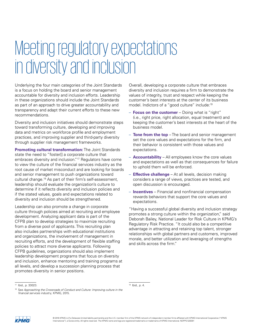### Meeting regulatory expectations in diversity and inclusion

Underlying the four main categories of the Joint Standards is a focus on holding the board and senior management accountable for diversity and inclusion efforts. Leadership in these organizations should include the Joint Standards as part of an approach to drive greater accountability and transparency and adapt their current efforts to these new recommendations.

Diversity and inclusion initiatives should demonstrate steps toward transforming culture, developing and improving data and metrics on workforce profile and employment practices, and improving supplier and third-party diversity through supplier risk management frameworks.

**Promoting cultural transformation:** The Joint Standards state the need to "foster[] a corporate culture that embraces diversity and inclusion."17 Regulators have come to view the culture of the financial services industry as the root cause of market misconduct and are looking for boards and senior management to push organizations toward cultural change.18 As part of their firm's self-assessment, leadership should evaluate the organization's culture to determine if it reflects diversity and inclusion policies and if the stated values, goals and expectations related to diversity and inclusion should be strengthened.

Leadership can also promote a change in corporate culture through policies aimed at recruiting and employee development. Analyzing applicant data is part of the CFPB plan to develop strategies to maximize recruiting from a diverse pool of applicants. This recruiting plan also includes partnerships with educational institutions and organizations, the involvement of management in recruiting efforts, and the development of flexible staffing policies to attract more diverse applicants. Following CFPB guidelines, organizations should also implement leadership development programs that focus on diversity and inclusion, enhance mentoring and training programs at all levels, and develop a succession planning process that promotes diversity in senior positions.

Overall, developing a corporate culture that embraces diversity and inclusion requires a firm to demonstrate the values of integrity, trust and respect while keeping the customer's best interests at the center of its business model. Indictors of a "good culture" include:<sup>19</sup>

- **Focus on the customer** Doing what is "right" (i.e., right price, right allocation, equal treatment) and keeping the customer's best interests at the heart of the business model.
- **Tone from the top** The board and senior management set the core values and expectations for the firm, and their behavior is consistent with those values and expectations.
- **Accountability** All employees know the core values and expectations as well as that consequences for failure to uphold them will be enforced.
- **Effective challenge** At all levels, decision making considers a range of views, practices are tested, and open discussion is encouraged.
- **Incentives** Financial and nonfinancial compensation rewards behaviors that support the core values and expectations.

"Having a successful global diversity and inclusion strategy promotes a strong culture within the organization," said Deborah Bailey, National Leader for Risk Culture in KPMG's Regulatory Risk Practice. "It could also be a competitive advantage in attracting and retaining top talent, stronger relationships with global partners and customers, improved morale, and better utilization and leveraging of strengths and skills across the firm."

19 Ibid., p. 4.



<sup>17</sup> Ibid., p. 33023.

<sup>&</sup>lt;sup>18</sup> See Approaching the Crossroads of Conduct and Culture: Improving culture in the financial services industry, KPMG, 2015.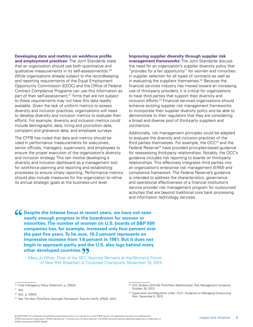**Developing data and metrics on workforce profile and employment practices:** The Joint Standards state that an organization should use both quantitative and qualitative measurements in its self-assessment(s).20 While organizations already subject to the recordkeeping and reporting requirements of the Equal Employment Opportunity Commission (EEOC) and the Office of Federal Contract Compliance Programs can use this information as part of their self-assessment,<sup>21</sup> firms that are not subject to these requirements may not have this data readily available. Given the lack of uniform metrics to assess diversity and inclusion practices, organizations will need to develop diversity and inclusion metrics to evaluate their efforts. For example, diversity and inclusion metrics could include demographic data, hiring and promotion data, complaint and grievance data, and employee surveys.

The CFPB has noted that data and metrics should be used in performance measurements for executives, senior officials, managers, supervisors, and employees to ensure the proper execution of the organization's diversity and inclusion strategy. This can involve developing a diversity and inclusion dashboard as a management tool for workforce planning and reporting and establishing processes to ensure timely reporting. Performance metrics should also include measures for the organization to refine its annual strategic goals at the business-unit level.

**Improving supplier diversity through supplier risk management frameworks:** The Joint Standards discuss the need for an organization's supplier diversity policy that "provides for a fair opportunity" for women and minorities in supplier selection for all types of contracts as well as in evaluating the suppliers themselves.<sup>22</sup> Because the financial services industry has moved toward an increasing use of third-party providers, it is critical for organizations to have third parties that support their diversity and inclusion efforts.23 Financial services organizations should enhance existing supplier risk management frameworks to incorporate their supplier diversity policy and be able to demonstrate to their regulators that they are considering a broad and diverse pool of third-party suppliers and contractors.

Additionally, risk management principles could be adapted to evaluate the diversity and inclusion practices of the third parties themselves. For example, the OCC<sup>24</sup> and the Federal Reserve<sup>25</sup> have provided principles-based guidance for reassessing third-party relationships. Notably, the OCC's guidance includes risk reporting to boards on third-party relationships. This effectively integrates third parties into an organization's enterprise risk management (ERM) and compliance framework. The Federal Reserve's guidance is intended to address the characteristics, governance and operational effectiveness of a financial institution's service provider risk management program for outsourced activities that are beyond traditional core bank processing and information technology services.

**66** Despite the intense focus in recent years, we have not seen **nearly enough progress in the boardroom for women or minorities. The number of women on U.S. boards of S&P 500 companies has, for example, increased only four percent over the past five years. To be sure, 19.2 percent represents an impressive increase from 1.8 percent in 1981. But it does not begin to approach parity and the U.S. also lags behind many other developed countries.**

 – Mary Jo White, Chair of the SEC, Keynote Remarks at the Women's Forum of NewYork Breakfast of Corporate Champions, November 19, 2015

<sup>20</sup> Final Interagency Policy Statement, p. 33023.

 $21$  Ibid.

<sup>&</sup>lt;sup>22</sup> Ibid., p. 33024.

<sup>&</sup>lt;sup>23</sup> See The New Third-Party Oversight Framework: Trust but Verify, KPMG, 2014.

<sup>&</sup>lt;sup>24</sup> OCC Bulletin 2013-29, Third-Party Relationships: Risk Management Guidance, October 30, 2013.

<sup>&</sup>lt;sup>25</sup> Supervision and Regulation Letter 13-21, Guidance on Managing Outsourcing Risk, December 5, 2013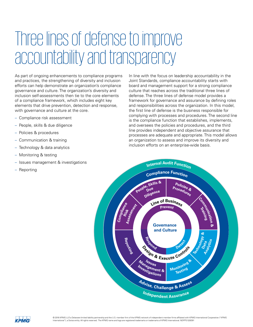### Three lines of defense to improve accountability and transparency

As part of ongoing enhancements to compliance programs and practices, the strengthening of diversity and inclusion efforts can help demonstrate an organization's compliance governance and culture. The organization's diversity and inclusion self-assessments then tie to the core elements of a compliance framework, which includes eight key elements that drive prevention, detection and response, with governance and culture at the core.

- Compliance risk assessment
- People, skills & due diligence
- Policies & procedures
- Communication & training
- Technology & data analytics
- Monitoring & testing
- Issues management & investigations
- Reporting

In line with the focus on leadership accountability in the Joint Standards, compliance accountability starts with board and management support for a strong compliance culture that reaches across the traditional three lines of defense. The three lines of defense model provides a framework for governance and assurance by defining roles and responsibilities across the organization. In this model, the first line of defense is the business responsible for complying with processes and procedures. The second line is the compliance function that establishes, implements, and oversees the policies and procedures, and the third line provides independent and objective assurance that processes are adequate and appropriate. This model allows an organization to assess and improve its diversity and inclusion efforts on an enterprise-wide basis.



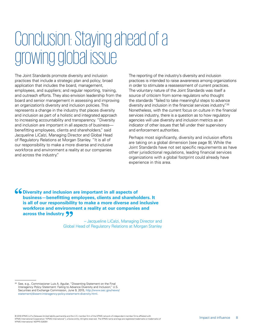### Conclusion: Staying ahead of a growing global issue

The Joint Standards promote diversity and inclusion practices that include a strategic plan and policy; broad application that includes the board, management, employees, and suppliers; and regular reporting, training, and outreach efforts. They also envision leadership from the board and senior management in assessing and improving an organization's diversity and inclusion policies. This represents a change in the industry that places diversity and inclusion as part of a holistic and integrated approach to increasing accountability and transparency. "Diversity and inclusion are important in all aspects of business benefitting employees, clients and shareholders," said Jacqueline LiCalzi, Managing Director and Global Head of Regulatory Relations at Morgan Stanley. "It is all of our responsibility to make a more diverse and inclusive workforce and environment a reality at our companies and across the industry."

The reporting of the industry's diversity and inclusion practices is intended to raise awareness among organizations in order to stimulate a reassessment of current practices. The voluntary nature of the Joint Standards was itself a source of criticism from some regulators who thought the standards "failed to take meaningful steps to advance diversity and inclusion in the financial services industry."26 Nonetheless, with the current focus on culture in the financial services industry, there is a question as to how regulatory agencies will use diversity and inclusion metrics as an indicator of other issues that fall under their supervisory and enforcement authorities.

Perhaps most significantly, diversity and inclusion efforts are taking on a global dimension [see page 9]. While the Joint Standards have not set specific requirements as have other jurisdictional regulations, leading financial services organizations with a global footprint could already have experience in this area.

**66** Diversity and inclusion are important in all aspects of **business—benefitting employees, clients and shareholders. It is all of our responsibility to make a more diverse and inclusive workforce and environment a reality at our companies and across the industry**

> – Jacqueline LiCalzi, Managing Director and Global Head of Regulatory Relations at Morgan Stanley

<sup>&</sup>lt;sup>26</sup> See, e.g., Commissioner Luis A. Aguilar, "Dissenting Statement on the Final Interagency Policy Statement: Failing to Advance Diversity and Inclusion," U.S. Securities and Exchange Commission, June 9, 2015, http://www.sec.gov/news/ statement/dissent-interagency-policy-statement-diversity.html.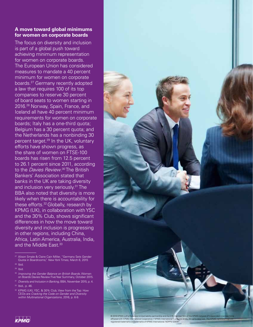#### **A move toward global minimums for women on corporate boards**

The focus on diversity and inclusion is part of a global push toward achieving minimum representation for women on corporate boards. The European Union has considered measures to mandate a 40 percent minimum for women on corporate boards.27 Germany recently adopted a law that requires 100 of its top companies to reserve 30 percent of board seats to women starting in 2016.28 Norway, Spain, France, and Iceland all have 40 percent minimum requirements for women on corporate boards; Italy has a one-third quota; Belgium has a 30 percent quota; and the Netherlands has a nonbinding 30 percent target.29 In the UK, voluntary efforts have shown progress, as the share of women on FTSE-100 boards has risen from 12.5 percent to 26.1 percent since 2011, according to the *Davies Review*.<sup>30</sup> The British Bankers' Association stated that banks in the UK are taking diversity and inclusion very seriously.<sup>31</sup> The BBA also noted that diversity is more likely when there is accountability for these efforts.32 Globally, research by KPMG (UK), in collaboration with YSC and the 30% Club, shows significant differences in how the move toward diversity and inclusion is progressing in other regions, including China, Africa, Latin America, Australia, India, and the Middle East.33

<sup>31</sup> Diversity and Inclusion in Banking, BBA, November 2015, p. 4.

<sup>&</sup>lt;sup>32</sup> KPMG (UK), YSC, & 30% Club, View from the Top: How CEOs are Cracking the Code on Gender and Diversity within Multinational Organizations, 2016, p. 6-9.





<sup>27</sup> Alison Smale & Claire Cain Miller, "Germany Sets Gender Quota in Boardrooms," New York Times, March 6, 2015

 $28$  Ibid.

 $29$  Ibid.

<sup>&</sup>lt;sup>30</sup> Improving the Gender Balance on British Boards, Women on Boards Davies Review Five Year Summary, October 2015.

<sup>32</sup> Ibid., p. 46.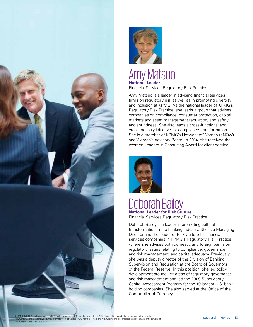



#### Amy Matsuo **National Leader** Financial Services Regulatory Risk Practice

Amy Matsuo is a leader in advising financial services firms on regulatory risk as well as in promoting diversity and inclusion at KPMG. As the national leader of KPMG's Regulatory Risk Practice, she leads a group that advises companies on compliance, consumer protection, capital markets and asset management regulation, and safety and soundness. She also leads a cross-functional and cross-industry initiative for compliance transformation. She is a member of KPMG's Network of Women (KNOW) and Women's Advisory Board. In 2014, she received the Women Leaders in Consulting Award for client service.



#### Deborah Bailey **National Leader for Risk Culture**

Financial Services Regulatory Risk Practice

Deborah Bailey is a leader in promoting cultural transformation in the banking industry. She is a Managing Director and the leader of Risk Culture for financial services companies in KPMG's Regulatory Risk Practice, where she advises both domestic and foreign banks on regulatory issues relating to compliance, governance and risk management, and capital adequacy. Previously, she was a deputy director of the Division of Banking Supervision and Regulation at the Board of Governors of the Federal Reserve. In this position, she led policy development around key areas of regulatory governance and risk management and led the 2009 Supervisory Capital Assessment Program for the 19 largest U.S. bank holding companies. She also served at the Office of the Comptroller of Currency.